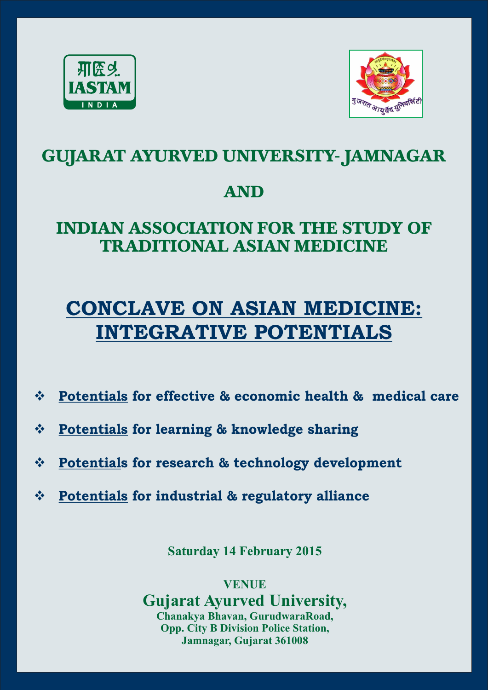



# **GUJARAT AYURVED UNIVERSITY- JAMNAGAR**

## **AND**

# **INDIAN ASSOCIATION FOR THE STUDY OF TRADITIONAL ASIAN MEDICINE**

# **CONCLAVE ON ASIAN MEDICINE: INTEGRATIVE POTENTIALS**

- v **Potentials for effective & economic health & medical care**
- v **Potentials for learning & knowledge sharing**
- v **Potentials for research & technology development**
- v **Potentials for industrial & regulatory alliance**

**Saturday 14 February 2015** 

**VENUE**

**Gujarat Ayurved University, Chanakya Bhavan, GurudwaraRoad, Opp. City B Division Police Station, Jamnagar, Gujarat 361008**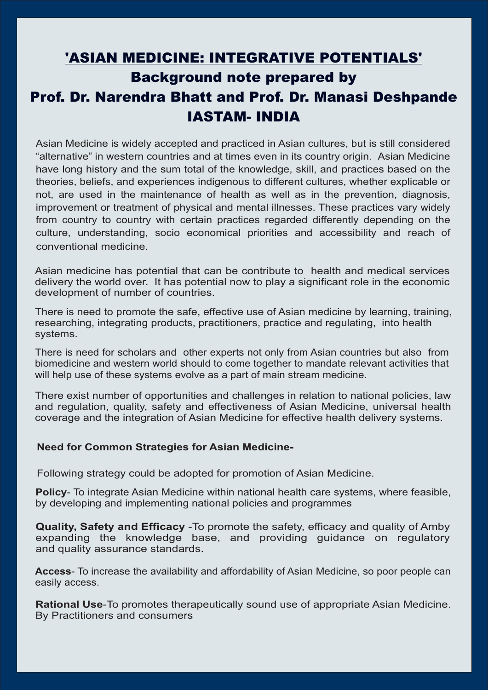## 'ASIAN MEDICINE: INTEGRATIVE POTENTIALS'

## Background note prepared by Prof. Dr. Narendra Bhatt and Prof. Dr. Manasi Deshpande IASTAM- INDIA

Asian Medicine is widely accepted and practiced in Asian cultures, but is still considered "alternative" in western countries and at times even in its country origin. Asian Medicine have long history and the sum total of the knowledge, skill, and practices based on the theories, beliefs, and experiences indigenous to different cultures, whether explicable or not, are used in the maintenance of health as well as in the prevention, diagnosis, improvement or treatment of physical and mental illnesses. These practices vary widely from country to country with certain practices regarded differently depending on the culture, understanding, socio economical priorities and accessibility and reach of conventional medicine.

Asian medicine has potential that can be contribute to health and medical services delivery the world over. It has potential now to play a significant role in the economic development of number of countries.

There is need to promote the safe, effective use of Asian medicine by learning, training, researching, integrating products, practitioners, practice and regulating, into health systems.

There is need for scholars and other experts not only from Asian countries but also from biomedicine and western world should to come together to mandate relevant activities that will help use of these systems evolve as a part of main stream medicine.

There exist number of opportunities and challenges in relation to national policies, law and regulation, quality, safety and effectiveness of Asian Medicine, universal health coverage and the integration of Asian Medicine for effective health delivery systems.

#### **Need for Common Strategies for Asian Medicine-**

Following strategy could be adopted for promotion of Asian Medicine.

**Policy**- To integrate Asian Medicine within national health care systems, where feasible, by developing and implementing national policies and programmes

**Quality, Safety and Efficacy** -To promote the safety, efficacy and quality of Amby expanding the knowledge base, and providing guidance on regulatory and quality assurance standards.

**Access**- To increase the availability and affordability of Asian Medicine, so poor people can easily access.

**Rational Use**-To promotes therapeutically sound use of appropriate Asian Medicine. By Practitioners and consumers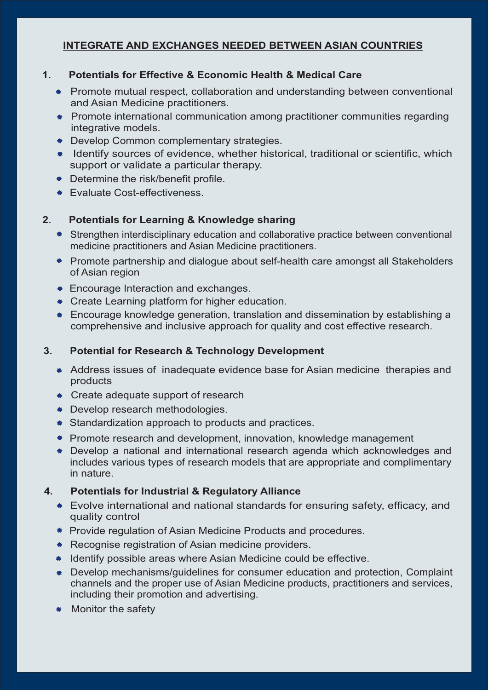#### **INTEGRATE AND EXCHANGES NEEDED BETWEEN ASIAN COUNTRIES**

#### **1. Potentials for Effective & Economic Health & Medical Care**

- \* Promote mutual respect, collaboration and understanding between conventional and Asian Medicine practitioners.
- Promote international communication among practitioner communities regarding integrative models.
- **\*** Develop Common complementary strategies.
- \* Identify sources of evidence, whether historical, traditional or scientific, which support or validate a particular therapy.
- \* Determine the risk/benefit profile.
- **Evaluate Cost-effectiveness.**

#### **2. Potentials for Learning & Knowledge sharing**

- Strengthen interdisciplinary education and collaborative practice between conventional medicine practitioners and Asian Medicine practitioners.
- \* Promote partnership and dialogue about self-health care amongst all Stakeholders of Asian region
- **Encourage Interaction and exchanges.**
- **EXECTE Create Learning platform for higher education.**
- \* Encourage knowledge generation, translation and dissemination by establishing a comprehensive and inclusive approach for quality and cost effective research.

#### **3. Potential for Research & Technology Development**

- Address issues of inadequate evidence base for Asian medicine therapies and products
- Create adequate support of research
- **EXECUTE:** Develop research methodologies.
- \* Standardization approach to products and practices.
- \* Promote research and development, innovation, knowledge management
- Develop a national and international research agenda which acknowledges and includes various types of research models that are appropriate and complimentary in nature.

#### **4. Potentials for Industrial & Regulatory Alliance**

- Evolve international and national standards for ensuring safety, efficacy, and quality control
- \* Provide regulation of Asian Medicine Products and procedures.
- \* Recognise registration of Asian medicine providers.
- Identify possible areas where Asian Medicine could be effective.
- Develop mechanisms/guidelines for consumer education and protection, Complaint channels and the proper use of Asian Medicine products, practitioners and services, including their promotion and advertising.
- Monitor the safety